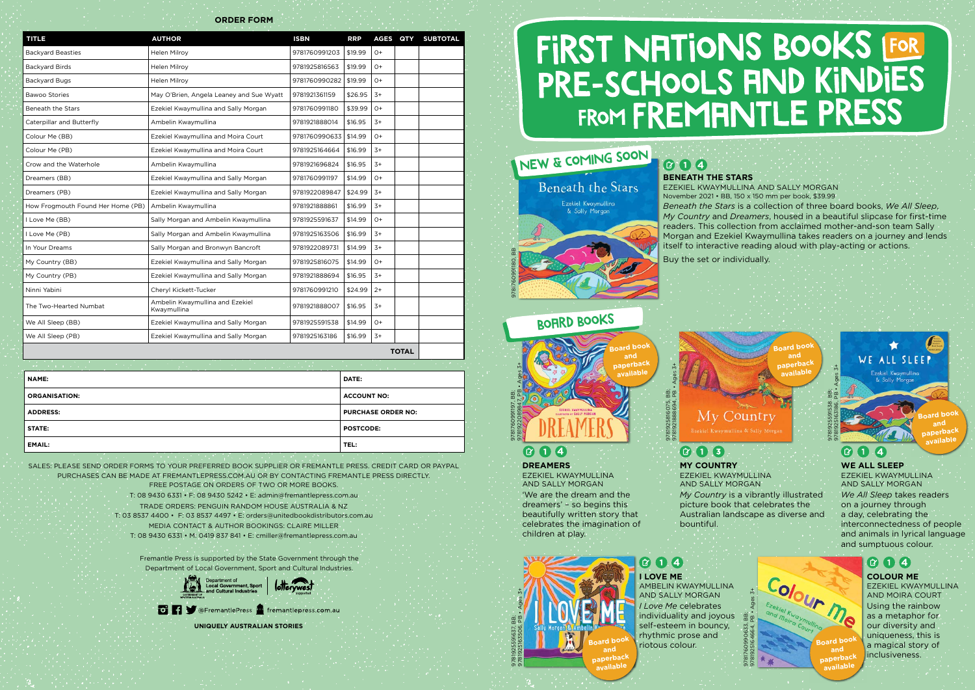| a international control of the control of the control of the control of the control of the control of the control of the control of the control of the control of the control of the control of the control of the control of<br><b>STATISTICS</b> In the second control of the second |                           |
|----------------------------------------------------------------------------------------------------------------------------------------------------------------------------------------------------------------------------------------------------------------------------------------|---------------------------|
| <b>NAME:</b>                                                                                                                                                                                                                                                                           | <b>DATE:</b>              |
| <b>ORGANISATION:</b>                                                                                                                                                                                                                                                                   | <b>ACCOUNT NO:</b>        |
| <b>ADDRESS:</b>                                                                                                                                                                                                                                                                        | <b>PURCHASE ORDER NO:</b> |
| STATE:                                                                                                                                                                                                                                                                                 | <b>POSTCODE:</b>          |
| <b>EMAIL:</b>                                                                                                                                                                                                                                                                          | TEL:                      |

| <b>TITLE</b>                      | <b>AUTHOR</b>                                  | <b>ISBN</b>   | <b>RRP</b> | AGES QTY |  | <b>SUBTOTAL</b> |
|-----------------------------------|------------------------------------------------|---------------|------------|----------|--|-----------------|
| <b>Backyard Beasties</b>          | Helen Milroy                                   | 9781760991203 | \$19.99    | $O+$     |  |                 |
| <b>Backyard Birds</b>             | <b>Helen Milroy</b>                            | 9781925816563 | \$19.99    | $O+$     |  |                 |
| <b>Backyard Bugs</b>              | Helen Milroy                                   | 9781760990282 | \$19.99    | $O+$     |  |                 |
| <b>Bawoo Stories</b>              | May O'Brien, Angela Leaney and Sue Wyatt       | 9781921361159 | \$26.95    | $3+$     |  |                 |
| <b>Beneath the Stars</b>          | Ezekiel Kwaymullina and Sally Morgan           | 9781760991180 | \$39.99    | $O+$     |  |                 |
| Caterpillar and Butterfly         | Ambelin Kwaymullina                            | 9781921888014 | \$16.95    | $3+$     |  |                 |
| Colour Me (BB)                    | Ezekiel Kwaymullina and Moira Court            | 9781760990633 | \$14.99    | $() +$   |  |                 |
| Colour Me (PB)                    | Ezekiel Kwaymullina and Moira Court            | 9781925164664 | \$16.99    | $3+$     |  |                 |
| Crow and the Waterhole            | Ambelin Kwaymullina                            | 9781921696824 | \$16.95    | $3+$     |  |                 |
| Dreamers (BB)                     | Ezekiel Kwaymullina and Sally Morgan           | 9781760991197 | \$14.99    | $O+$     |  |                 |
| Dreamers (PB)                     | Ezekiel Kwaymullina and Sally Morgan           | 9781922089847 | \$24.99    | $3+$     |  |                 |
| How Frogmouth Found Her Home (PB) | Ambelin Kwaymullina                            | 9781921888861 | \$16.99    | $3+$     |  |                 |
| I Love Me (BB)                    | Sally Morgan and Ambelin Kwaymullina           | 9781925591637 | \$14.99    | $O+$     |  |                 |
| I Love Me (PB)                    | Sally Morgan and Ambelin Kwaymullina           | 9781925163506 | \$16.99    | $3+$     |  |                 |
| In Your Dreams                    | Sally Morgan and Bronwyn Bancroft              | 9781922089731 | \$14.99    | $3+$     |  |                 |
| My Country (BB)                   | Ezekiel Kwaymullina and Sally Morgan           | 9781925816075 | \$14.99    | $O+$     |  |                 |
| My Country (PB)                   | Ezekiel Kwaymullina and Sally Morgan           | 9781921888694 | \$16.95    | $3+$     |  |                 |
| Ninni Yabini                      | Cheryl Kickett-Tucker                          | 9781760991210 | \$24.99    | $2+$     |  |                 |
| The Two-Hearted Numbat            | Ambelin Kwaymullina and Ezekiel<br>Kwaymullina | 9781921888007 | \$16.95    | $3+$     |  |                 |
| We All Sleep (BB)                 | Ezekiel Kwaymullina and Sally Morgan           | 9781925591538 | \$14.99    | $O+$     |  |                 |
| We All Sleep (PB)                 | Ezekiel Kwaymullina and Sally Morgan           | 9781925163186 | \$16.99    | $3+$     |  |                 |
| <b>TOTAL</b>                      |                                                |               |            |          |  |                 |

## New & COMING SOON Beneath the Stars



#### $\alpha$ **4 DREAMERS**

**ORDER FORM**

**BENEATH THE STARS** 

**4** 

#### $\left( \mathbf{r}\right)$ **4**

EZEKIEL KWAYMULLINA AND SALLY MORGAN November 2021 • BB, 150 x 150 mm per book, \$39.99 *Beneath the Stars* is a collection of three board books, *We All Sleep*, *My Country* and *Dreamers*, housed in a beautiful slipcase for first-time readers. This collection from acclaimed mother-and-son team Sally Morgan and Ezekiel Kwaymullina takes readers on a journey and lends itself to interactive reading aloud with play-acting or actions.

9781760991180, BB

Buy the set or individually.

SALES: PLEASE SEND ORDER FORMS TO YOUR PREFERRED BOOK SUPPLIER OR FREMANTLE PRESS. CREDIT CARD OR PAYPAL PURCHASES CAN BE MADE AT FREMANTLEPRESS.COM.AU OR BY CONTACTING FREMANTLE PRESS DIRECTLY. FREE POSTAGE ON ORDERS OF TWO OR MORE BOOKS.

T: 08 9430 6331 • F: 08 9430 5242 • E: admin@fremantlepress.com.au TRADE ORDERS: PENGUIN RANDOM HOUSE AUSTRALIA & NZ T: 03 8537 4400 • F: 03 8537 4497 • E: orders@unitedbookdistributors.com.au MEDIA CONTACT & AUTHOR BOOKINGS: CLAIRE MILLER T: 08 9430 6331 • M: 0419 837 841 • E: cmiller@fremantlepress.com.au

Fremantle Press is supported by the State Government through the Department of Local Government, Sport and Cultural Industries.



#### **To Play** @FremantlePress **no** fremantlepress.com.au

**UNIQUELY AUSTRALIAN STORIES**

# FIRST NATIONS BOOKS FOR PRE-SCHOOLS AND KINDIES FROM FREMANTLE PRESS



bountiful.

 $\bullet$   $\bullet$   $\bullet$   $\bullet$ 

9781925816075, BB; 9781921888694, PB • Ages 3+

EZEKIEL KWAYMULLINA AND SALLY MORGAN 'We are the dream and the dreamers' – so begins this beautifully written story that celebrates the imagination of children at play.

**WE ALL SLEEP** EZEKIEL KWAYMULLINA AND SALLY MORGAN *We All Sleep* takes readers on a journey through a day, celebrating the interconnectedness of people and animals in lyrical language and sumptuous colour.

9781760991197, BB; 9781922089847, PB • Ages 3+

#### **I LOVE ME 4**

AMBELIN KWAYMULLINA AND SALLY MORGAN *I Love Me* celebrates individuality and joyous self-esteem in bouncy, rhythmic prose and riotous colour.









**COLOUR ME** EZEKIEL KWAYMULLINA AND MOIRA COURT Using the rainbow as a metaphor for our diversity and uniqueness, this is a magical story of inclusiveness.



### **6** 14